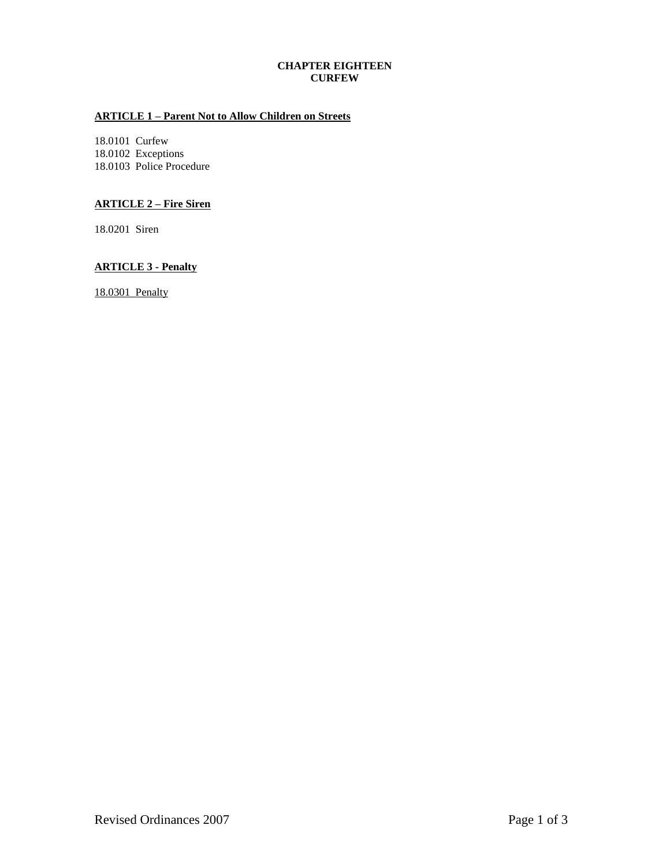# **CHAPTER EIGHTEEN CURFEW**

# **ARTICLE 1 – Parent Not to Allow Children on Streets**

18.0101 Curfew 18.0102 Exceptions 18.0103 Police Procedure

## **ARTICLE 2 – Fire Siren**

18.0201 Siren

# **ARTICLE 3 - Penalty**

18.0301 Penalty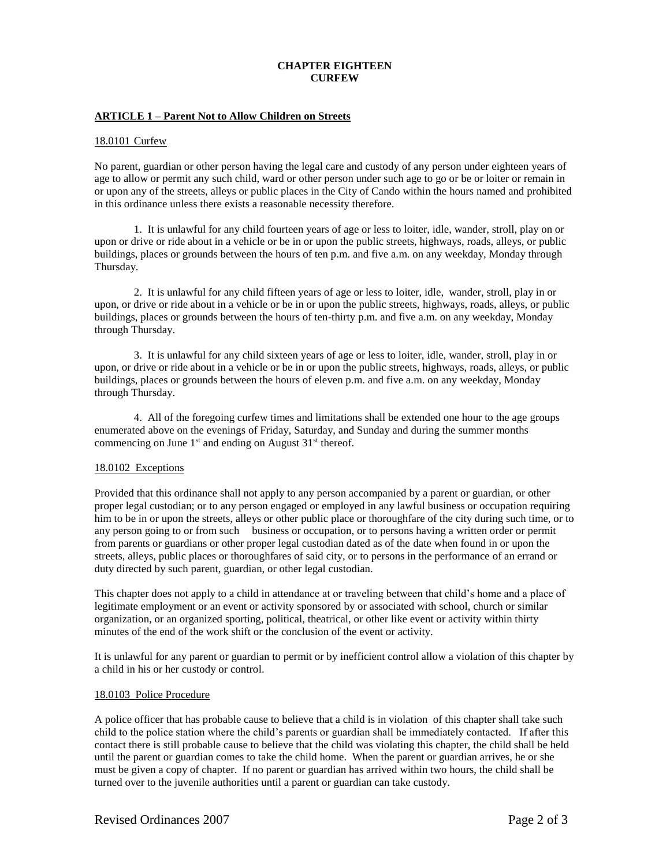### **CHAPTER EIGHTEEN CURFEW**

### **ARTICLE 1 – Parent Not to Allow Children on Streets**

#### 18.0101 Curfew

No parent, guardian or other person having the legal care and custody of any person under eighteen years of age to allow or permit any such child, ward or other person under such age to go or be or loiter or remain in or upon any of the streets, alleys or public places in the City of Cando within the hours named and prohibited in this ordinance unless there exists a reasonable necessity therefore.

1. It is unlawful for any child fourteen years of age or less to loiter, idle, wander, stroll, play on or upon or drive or ride about in a vehicle or be in or upon the public streets, highways, roads, alleys, or public buildings, places or grounds between the hours of ten p.m. and five a.m. on any weekday, Monday through Thursday.

2. It is unlawful for any child fifteen years of age or less to loiter, idle, wander, stroll, play in or upon, or drive or ride about in a vehicle or be in or upon the public streets, highways, roads, alleys, or public buildings, places or grounds between the hours of ten-thirty p.m. and five a.m. on any weekday, Monday through Thursday.

3. It is unlawful for any child sixteen years of age or less to loiter, idle, wander, stroll, play in or upon, or drive or ride about in a vehicle or be in or upon the public streets, highways, roads, alleys, or public buildings, places or grounds between the hours of eleven p.m. and five a.m. on any weekday, Monday through Thursday.

4. All of the foregoing curfew times and limitations shall be extended one hour to the age groups enumerated above on the evenings of Friday, Saturday, and Sunday and during the summer months commencing on June 1<sup>st</sup> and ending on August 31<sup>st</sup> thereof.

#### 18.0102 Exceptions

Provided that this ordinance shall not apply to any person accompanied by a parent or guardian, or other proper legal custodian; or to any person engaged or employed in any lawful business or occupation requiring him to be in or upon the streets, alleys or other public place or thoroughfare of the city during such time, or to any person going to or from such business or occupation, or to persons having a written order or permit from parents or guardians or other proper legal custodian dated as of the date when found in or upon the streets, alleys, public places or thoroughfares of said city, or to persons in the performance of an errand or duty directed by such parent, guardian, or other legal custodian.

This chapter does not apply to a child in attendance at or traveling between that child's home and a place of legitimate employment or an event or activity sponsored by or associated with school, church or similar organization, or an organized sporting, political, theatrical, or other like event or activity within thirty minutes of the end of the work shift or the conclusion of the event or activity.

It is unlawful for any parent or guardian to permit or by inefficient control allow a violation of this chapter by a child in his or her custody or control.

#### 18.0103 Police Procedure

A police officer that has probable cause to believe that a child is in violation of this chapter shall take such child to the police station where the child's parents or guardian shall be immediately contacted. If after this contact there is still probable cause to believe that the child was violating this chapter, the child shall be held until the parent or guardian comes to take the child home. When the parent or guardian arrives, he or she must be given a copy of chapter. If no parent or guardian has arrived within two hours, the child shall be turned over to the juvenile authorities until a parent or guardian can take custody.